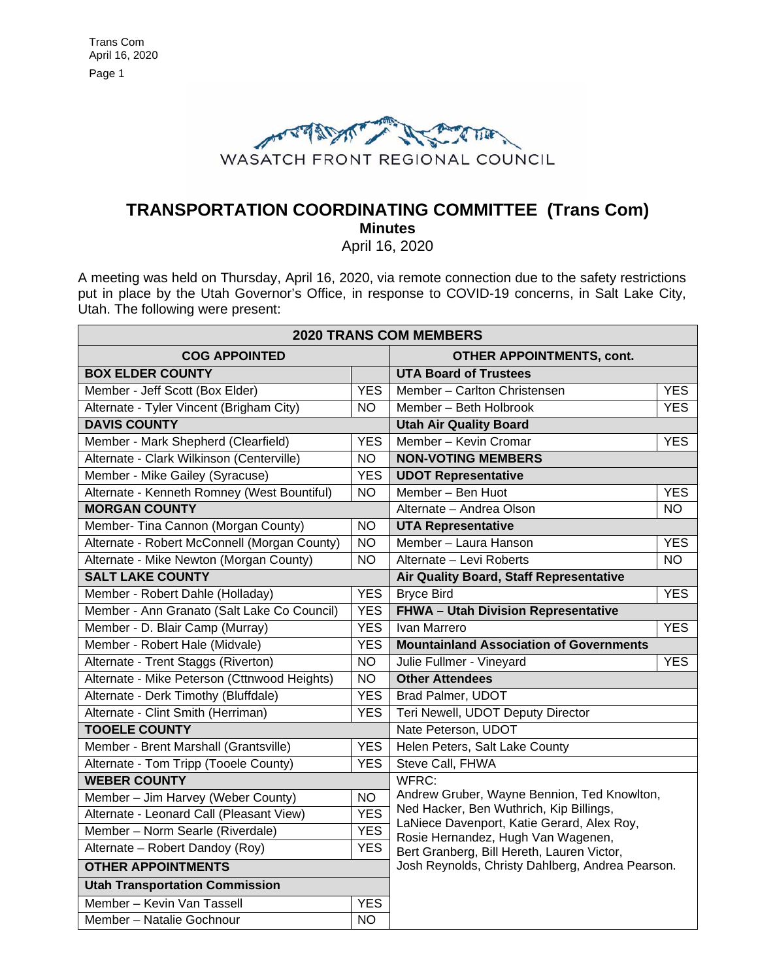

# **TRANSPORTATION COORDINATING COMMITTEE (Trans Com) Minutes**

April 16, 2020

A meeting was held on Thursday, April 16, 2020, via remote connection due to the safety restrictions put in place by the Utah Governor's Office, in response to COVID-19 concerns, in Salt Lake City, Utah. The following were present:

| <b>2020 TRANS COM MEMBERS</b>                |                 |                                                                                                                                                                            |            |  |
|----------------------------------------------|-----------------|----------------------------------------------------------------------------------------------------------------------------------------------------------------------------|------------|--|
| <b>COG APPOINTED</b>                         |                 | <b>OTHER APPOINTMENTS, cont.</b>                                                                                                                                           |            |  |
| <b>BOX ELDER COUNTY</b>                      |                 | <b>UTA Board of Trustees</b>                                                                                                                                               |            |  |
| Member - Jeff Scott (Box Elder)              | <b>YES</b>      | Member - Carlton Christensen                                                                                                                                               | <b>YES</b> |  |
| Alternate - Tyler Vincent (Brigham City)     | <b>NO</b>       | Member - Beth Holbrook                                                                                                                                                     | <b>YES</b> |  |
| <b>DAVIS COUNTY</b>                          |                 | <b>Utah Air Quality Board</b>                                                                                                                                              |            |  |
| Member - Mark Shepherd (Clearfield)          | <b>YES</b>      | Member - Kevin Cromar                                                                                                                                                      | <b>YES</b> |  |
| Alternate - Clark Wilkinson (Centerville)    | <b>NO</b>       | <b>NON-VOTING MEMBERS</b>                                                                                                                                                  |            |  |
| Member - Mike Gailey (Syracuse)              | <b>YES</b>      | <b>UDOT Representative</b>                                                                                                                                                 |            |  |
| Alternate - Kenneth Romney (West Bountiful)  | <b>NO</b>       | Member - Ben Huot                                                                                                                                                          | <b>YES</b> |  |
| <b>MORGAN COUNTY</b>                         |                 | Alternate - Andrea Olson                                                                                                                                                   | NΟ         |  |
| Member- Tina Cannon (Morgan County)          | <b>NO</b>       | <b>UTA Representative</b>                                                                                                                                                  |            |  |
| Alternate - Robert McConnell (Morgan County) | <b>NO</b>       | Member - Laura Hanson                                                                                                                                                      | <b>YES</b> |  |
| Alternate - Mike Newton (Morgan County)      | $\overline{NO}$ | Alternate - Levi Roberts                                                                                                                                                   | <b>NO</b>  |  |
| <b>SALT LAKE COUNTY</b>                      |                 | Air Quality Board, Staff Representative                                                                                                                                    |            |  |
| Member - Robert Dahle (Holladay)             | <b>YES</b>      | <b>Bryce Bird</b>                                                                                                                                                          | <b>YES</b> |  |
| Member - Ann Granato (Salt Lake Co Council)  | <b>YES</b>      | FHWA - Utah Division Representative                                                                                                                                        |            |  |
| Member - D. Blair Camp (Murray)              | <b>YES</b>      | Ivan Marrero                                                                                                                                                               | <b>YES</b> |  |
| Member - Robert Hale (Midvale)               | <b>YES</b>      | <b>Mountainland Association of Governments</b>                                                                                                                             |            |  |
| Alternate - Trent Staggs (Riverton)          | <b>NO</b>       | Julie Fullmer - Vineyard                                                                                                                                                   | <b>YES</b> |  |
| Alternate - Mike Peterson (Cttnwood Heights) | <b>NO</b>       | <b>Other Attendees</b>                                                                                                                                                     |            |  |
| Alternate - Derk Timothy (Bluffdale)         | <b>YES</b>      | Brad Palmer, UDOT                                                                                                                                                          |            |  |
| Alternate - Clint Smith (Herriman)           | <b>YES</b>      | Teri Newell, UDOT Deputy Director                                                                                                                                          |            |  |
| <b>TOOELE COUNTY</b>                         |                 | Nate Peterson, UDOT                                                                                                                                                        |            |  |
| Member - Brent Marshall (Grantsville)        | <b>YES</b>      | Helen Peters, Salt Lake County                                                                                                                                             |            |  |
| Alternate - Tom Tripp (Tooele County)        | <b>YES</b>      | Steve Call, FHWA                                                                                                                                                           |            |  |
| <b>WEBER COUNTY</b>                          |                 | WFRC:                                                                                                                                                                      |            |  |
| Member - Jim Harvey (Weber County)           | <b>NO</b>       | Andrew Gruber, Wayne Bennion, Ted Knowlton,<br>Ned Hacker, Ben Wuthrich, Kip Billings,<br>LaNiece Davenport, Katie Gerard, Alex Roy,<br>Rosie Hernandez, Hugh Van Wagenen, |            |  |
| Alternate - Leonard Call (Pleasant View)     | <b>YES</b>      |                                                                                                                                                                            |            |  |
| Member - Norm Searle (Riverdale)             | <b>YES</b>      |                                                                                                                                                                            |            |  |
| Alternate - Robert Dandoy (Roy)              | <b>YES</b>      | Bert Granberg, Bill Hereth, Lauren Victor,                                                                                                                                 |            |  |
| <b>OTHER APPOINTMENTS</b>                    |                 | Josh Reynolds, Christy Dahlberg, Andrea Pearson.                                                                                                                           |            |  |
| <b>Utah Transportation Commission</b>        |                 |                                                                                                                                                                            |            |  |
| Member - Kevin Van Tassell                   | <b>YES</b>      |                                                                                                                                                                            |            |  |
| Member - Natalie Gochnour                    | $\overline{NO}$ |                                                                                                                                                                            |            |  |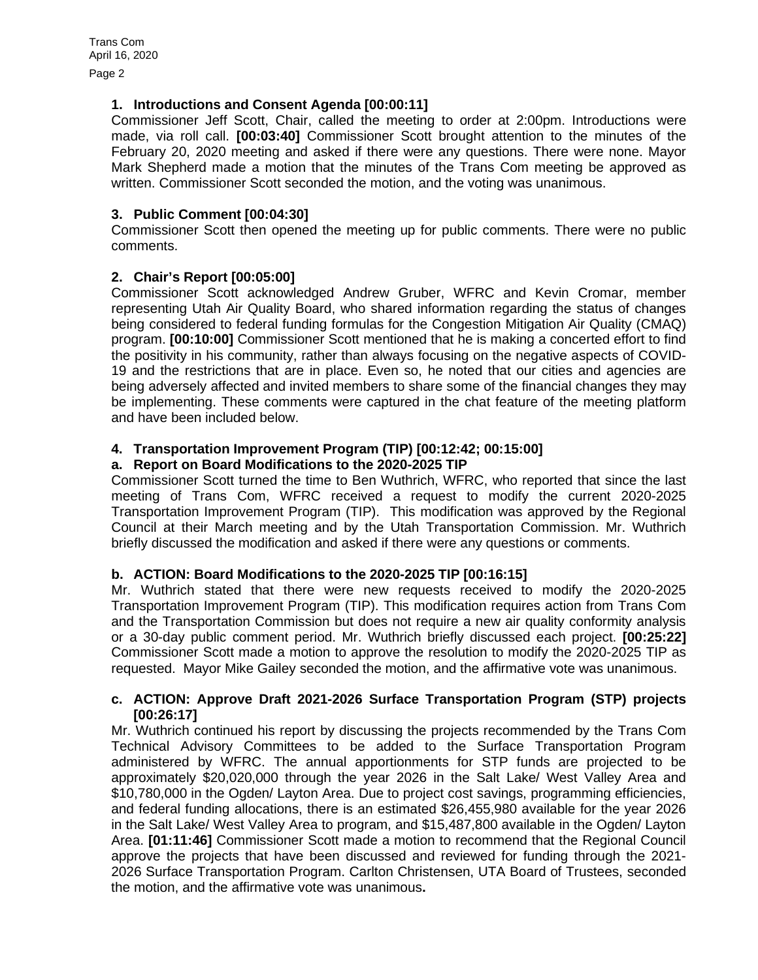Page 2

# **1. Introductions and Consent Agenda [00:00:11]**

Commissioner Jeff Scott, Chair, called the meeting to order at 2:00pm. Introductions were made, via roll call. **[00:03:40]** Commissioner Scott brought attention to the minutes of the February 20, 2020 meeting and asked if there were any questions. There were none. Mayor Mark Shepherd made a motion that the minutes of the Trans Com meeting be approved as written. Commissioner Scott seconded the motion, and the voting was unanimous.

# **3. Public Comment [00:04:30]**

Commissioner Scott then opened the meeting up for public comments. There were no public comments.

# **2. Chair's Report [00:05:00]**

Commissioner Scott acknowledged Andrew Gruber, WFRC and Kevin Cromar, member representing Utah Air Quality Board, who shared information regarding the status of changes being considered to federal funding formulas for the Congestion Mitigation Air Quality (CMAQ) program. **[00:10:00]** Commissioner Scott mentioned that he is making a concerted effort to find the positivity in his community, rather than always focusing on the negative aspects of COVID-19 and the restrictions that are in place. Even so, he noted that our cities and agencies are being adversely affected and invited members to share some of the financial changes they may be implementing. These comments were captured in the chat feature of the meeting platform and have been included below.

#### **4. Transportation Improvement Program (TIP) [00:12:42; 00:15:00]**

#### **a. Report on Board Modifications to the 2020-2025 TIP**

Commissioner Scott turned the time to Ben Wuthrich, WFRC, who reported that since the last meeting of Trans Com, WFRC received a request to modify the current 2020-2025 Transportation Improvement Program (TIP). This modification was approved by the Regional Council at their March meeting and by the Utah Transportation Commission. Mr. Wuthrich briefly discussed the modification and asked if there were any questions or comments.

# **b. ACTION: Board Modifications to the 2020-2025 TIP [00:16:15]**

Mr. Wuthrich stated that there were new requests received to modify the 2020-2025 Transportation Improvement Program (TIP). This modification requires action from Trans Com and the Transportation Commission but does not require a new air quality conformity analysis or a 30-day public comment period. Mr. Wuthrich briefly discussed each project. **[00:25:22]** Commissioner Scott made a motion to approve the resolution to modify the 2020-2025 TIP as requested. Mayor Mike Gailey seconded the motion, and the affirmative vote was unanimous.

#### **c. ACTION: Approve Draft 2021-2026 Surface Transportation Program (STP) projects [00:26:17]**

Mr. Wuthrich continued his report by discussing the projects recommended by the Trans Com Technical Advisory Committees to be added to the Surface Transportation Program administered by WFRC. The annual apportionments for STP funds are projected to be approximately \$20,020,000 through the year 2026 in the Salt Lake/ West Valley Area and \$10,780,000 in the Ogden/ Layton Area. Due to project cost savings, programming efficiencies, and federal funding allocations, there is an estimated \$26,455,980 available for the year 2026 in the Salt Lake/ West Valley Area to program, and \$15,487,800 available in the Ogden/ Layton Area. **[01:11:46]** Commissioner Scott made a motion to recommend that the Regional Council approve the projects that have been discussed and reviewed for funding through the 2021- 2026 Surface Transportation Program. Carlton Christensen, UTA Board of Trustees, seconded the motion, and the affirmative vote was unanimous**.**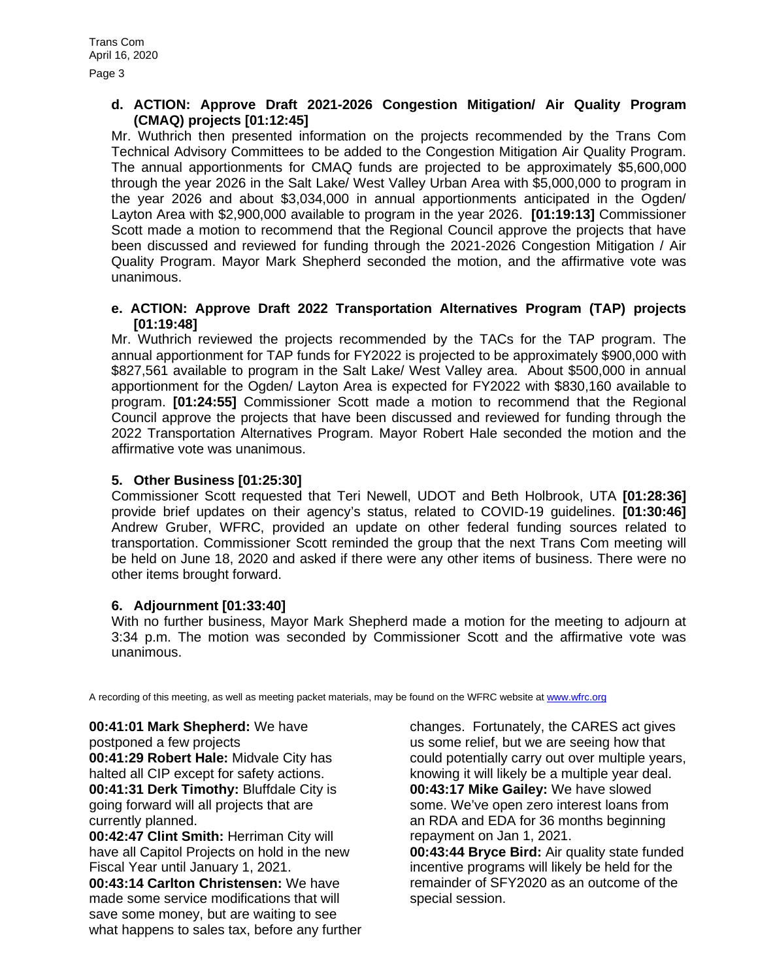Page 3

# **d. ACTION: Approve Draft 2021-2026 Congestion Mitigation/ Air Quality Program (CMAQ) projects [01:12:45]**

Mr. Wuthrich then presented information on the projects recommended by the Trans Com Technical Advisory Committees to be added to the Congestion Mitigation Air Quality Program. The annual apportionments for CMAQ funds are projected to be approximately \$5,600,000 through the year 2026 in the Salt Lake/ West Valley Urban Area with \$5,000,000 to program in the year 2026 and about \$3,034,000 in annual apportionments anticipated in the Ogden/ Layton Area with \$2,900,000 available to program in the year 2026. **[01:19:13]** Commissioner Scott made a motion to recommend that the Regional Council approve the projects that have been discussed and reviewed for funding through the 2021-2026 Congestion Mitigation / Air Quality Program. Mayor Mark Shepherd seconded the motion, and the affirmative vote was unanimous.

#### **e. ACTION: Approve Draft 2022 Transportation Alternatives Program (TAP) projects [01:19:48]**

Mr. Wuthrich reviewed the projects recommended by the TACs for the TAP program. The annual apportionment for TAP funds for FY2022 is projected to be approximately \$900,000 with \$827,561 available to program in the Salt Lake/ West Valley area. About \$500,000 in annual apportionment for the Ogden/ Layton Area is expected for FY2022 with \$830,160 available to program. **[01:24:55]** Commissioner Scott made a motion to recommend that the Regional Council approve the projects that have been discussed and reviewed for funding through the 2022 Transportation Alternatives Program. Mayor Robert Hale seconded the motion and the affirmative vote was unanimous.

# **5. Other Business [01:25:30]**

Commissioner Scott requested that Teri Newell, UDOT and Beth Holbrook, UTA **[01:28:36]** provide brief updates on their agency's status, related to COVID-19 guidelines. **[01:30:46]** Andrew Gruber, WFRC, provided an update on other federal funding sources related to transportation. Commissioner Scott reminded the group that the next Trans Com meeting will be held on June 18, 2020 and asked if there were any other items of business. There were no other items brought forward.

# **6. Adjournment [01:33:40]**

With no further business, Mayor Mark Shepherd made a motion for the meeting to adjourn at 3:34 p.m. The motion was seconded by Commissioner Scott and the affirmative vote was unanimous.

A recording of this meeting, as well as meeting packet materials, may be found on the WFRC website at [www.wfrc.org](http://www.wfrc.org/)

# **00:41:01 Mark Shepherd:** We have

postponed a few projects **00:41:29 Robert Hale:** Midvale City has halted all CIP except for safety actions. **00:41:31 Derk Timothy:** Bluffdale City is going forward will all projects that are currently planned.

**00:42:47 Clint Smith:** Herriman City will have all Capitol Projects on hold in the new Fiscal Year until January 1, 2021.

**00:43:14 Carlton Christensen:** We have made some service modifications that will save some money, but are waiting to see what happens to sales tax, before any further changes. Fortunately, the CARES act gives us some relief, but we are seeing how that could potentially carry out over multiple years, knowing it will likely be a multiple year deal. **00:43:17 Mike Gailey:** We have slowed some. We've open zero interest loans from an RDA and EDA for 36 months beginning repayment on Jan 1, 2021.

**00:43:44 Bryce Bird:** Air quality state funded incentive programs will likely be held for the remainder of SFY2020 as an outcome of the special session.